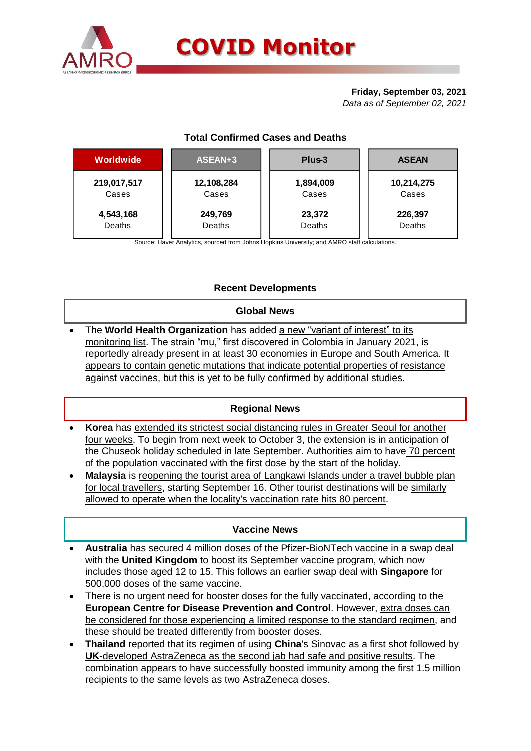

# **Friday, September 03, 2021**

*Data as of September 02, 2021*

# **Total Confirmed Cases and Deaths**

| Worldwide   | ASEAN+3    | Plus-3    | <b>ASEAN</b> |  |  |
|-------------|------------|-----------|--------------|--|--|
| 219,017,517 | 12,108,284 | 1,894,009 | 10,214,275   |  |  |
| Cases       | Cases      | Cases     | Cases        |  |  |
| 4,543,168   | 249,769    | 23,372    | 226,397      |  |  |
| Deaths      | Deaths     | Deaths    | Deaths       |  |  |

Source: Haver Analytics, sourced from Johns Hopkins University; and AMRO staff calculations.

# **Recent Developments**

## **Global News**

The **World Health Organization** has added a new "variant of interest" to its monitoring list. The strain "mu," first discovered in Colombia in January 2021, is reportedly already present in at least 30 economies in Europe and South America. It appears to contain genetic mutations that indicate potential properties of resistance against vaccines, but this is yet to be fully confirmed by additional studies.

## **Regional News**

- **Korea** has extended its strictest social distancing rules in Greater Seoul for another four weeks. To begin from next week to October 3, the extension is in anticipation of the Chuseok holiday scheduled in late September. Authorities aim to have 70 percent of the population vaccinated with the first dose by the start of the holiday.
- **Malaysia** is reopening the tourist area of Langkawi Islands under a travel bubble plan for local travellers, starting September 16. Other tourist destinations will be similarly allowed to operate when the locality's vaccination rate hits 80 percent.

## **Vaccine News**

- **Australia** has secured 4 million doses of the Pfizer-BioNTech vaccine in a swap deal with the **United Kingdom** to boost its September vaccine program, which now includes those aged 12 to 15. This follows an earlier swap deal with **Singapore** for 500,000 doses of the same vaccine.
- There is no urgent need for booster doses for the fully vaccinated, according to the **European Centre for Disease Prevention and Control**. However, extra doses can be considered for those experiencing a limited response to the standard regimen, and these should be treated differently from booster doses.
- **Thailand** reported that its regimen of using **China**'s Sinovac as a first shot followed by **UK**-developed AstraZeneca as the second jab had safe and positive results. The combination appears to have successfully boosted immunity among the first 1.5 million recipients to the same levels as two AstraZeneca doses.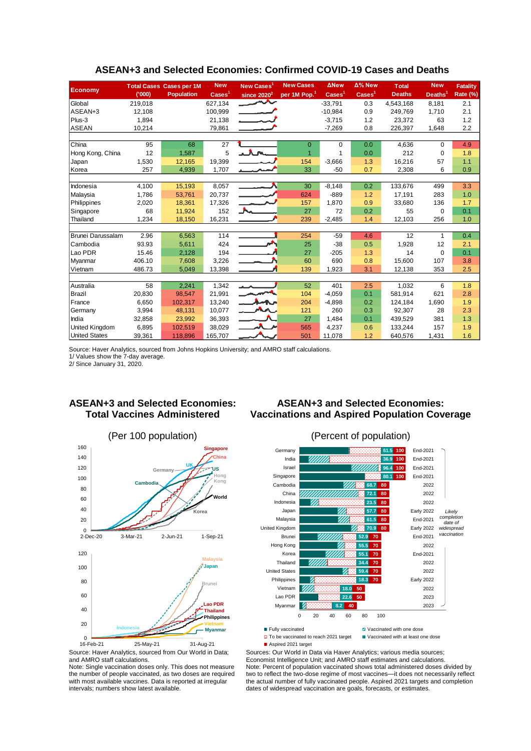|                                                                                                                           |                                                                                                                                                                               | <b>Total Cases Cases per 1M</b> | <b>New</b>                     | New Cases <sup>1</sup> | <b>New Cases</b>                                                                                                                                                         | <b>ANew</b>              | Δ% New                             | <b>Total</b>                      | <b>New</b>          | <b>Fatality</b>           |
|---------------------------------------------------------------------------------------------------------------------------|-------------------------------------------------------------------------------------------------------------------------------------------------------------------------------|---------------------------------|--------------------------------|------------------------|--------------------------------------------------------------------------------------------------------------------------------------------------------------------------|--------------------------|------------------------------------|-----------------------------------|---------------------|---------------------------|
| <b>Economy</b>                                                                                                            | (000)                                                                                                                                                                         | <b>Population</b>               | $\text{Case}$ <sup>1</sup>     | since $2020^2$         | per 1M Pop. <sup>1</sup>                                                                                                                                                 | $\overline{\text{Case}}$ | $\overline{\text{Case}}\text{s}^1$ | <b>Deaths</b>                     | Deaths <sup>1</sup> | <b>Rate (%)</b>           |
| Global                                                                                                                    | 219,018                                                                                                                                                                       |                                 | 627,134                        |                        |                                                                                                                                                                          | $-33.791$                | 0.3                                | 4,543,168                         | 8.181               | 2.1                       |
| ASEAN+3                                                                                                                   | 12,108                                                                                                                                                                        |                                 | 100,999                        |                        |                                                                                                                                                                          | $-10,984$                | 0.9                                | 249.769                           | 1,710               | 2.1                       |
| Plus-3                                                                                                                    | 1,894                                                                                                                                                                         |                                 | 21,138                         |                        |                                                                                                                                                                          | $-3,715$                 | 1.2                                | 23,372                            | 63                  | 1.2                       |
| ASEAN                                                                                                                     | 10,214                                                                                                                                                                        |                                 | 79,861                         |                        |                                                                                                                                                                          | $-7,269$                 | 0.8                                | 226,397                           | 1,648               | 2.2                       |
|                                                                                                                           |                                                                                                                                                                               |                                 |                                |                        |                                                                                                                                                                          |                          |                                    |                                   |                     |                           |
| China                                                                                                                     | 95                                                                                                                                                                            | 68                              | 27                             |                        | $\mathbf{0}$                                                                                                                                                             | 0                        | 0.0                                | 4,636                             | 0                   | 4.9                       |
| Hong Kong, China                                                                                                          | 12                                                                                                                                                                            | 1,587                           | 5                              |                        | $\overline{1}$                                                                                                                                                           | $\mathbf{1}$             | 0.0                                | 212                               | 0                   | 1.8                       |
| Japan<br>Korea                                                                                                            | 1,530<br>257                                                                                                                                                                  | 12,165<br>4,939                 | 19,399<br>1,707                |                        | 154<br>33                                                                                                                                                                | $-3,666$<br>-50          | 1.3<br>0.7                         | 16,216<br>2,308                   | 57<br>6             | 1.1<br>0.9                |
|                                                                                                                           |                                                                                                                                                                               |                                 |                                |                        |                                                                                                                                                                          |                          |                                    |                                   |                     |                           |
| Indonesia                                                                                                                 | 4,100                                                                                                                                                                         | 15,193                          | 8,057                          |                        | 30                                                                                                                                                                       | $-8,148$                 | 0.2                                | 133,676                           | 499                 | 3.3                       |
| Malaysia                                                                                                                  | 1,786                                                                                                                                                                         | 53,761                          | 20,737                         |                        | 624                                                                                                                                                                      | $-889$                   | 1.2                                | 17,191                            | 283                 | 1.0                       |
| Philippines                                                                                                               | 2,020                                                                                                                                                                         | 18,361                          | 17,326                         |                        | 157                                                                                                                                                                      | 1,870                    | 0.9                                | 33,680                            | 136                 | 1.7                       |
| Singapore                                                                                                                 | 68                                                                                                                                                                            | 11,924                          | 152                            |                        | 27                                                                                                                                                                       | 72                       | 0.2                                | 55                                | 0                   | 0.1                       |
| Thailand                                                                                                                  | 1,234                                                                                                                                                                         | 18,150                          | 16,231                         |                        | 239                                                                                                                                                                      | $-2,485$                 | 1.4                                | 12,103                            | 256                 | 1.0                       |
|                                                                                                                           |                                                                                                                                                                               |                                 |                                |                        |                                                                                                                                                                          |                          |                                    |                                   |                     |                           |
| Brunei Darussalam                                                                                                         | 2.96                                                                                                                                                                          | 6,563                           | 114                            |                        | 254                                                                                                                                                                      | -59                      | 4.6                                | 12                                | $\mathbf{1}$        | 0.4                       |
| Cambodia                                                                                                                  | 93.93                                                                                                                                                                         | 5,611                           | 424                            |                        | 25                                                                                                                                                                       | $-38$                    | 0.5                                | 1,928                             | 12                  | 2.1                       |
| Lao PDR                                                                                                                   | 15.46                                                                                                                                                                         | 2,128                           | 194                            |                        | 27                                                                                                                                                                       | $-205$                   | 1.3                                | 14                                | 0                   | 0.1                       |
| Myanmar                                                                                                                   | 406.10                                                                                                                                                                        | 7,608                           | 3,226                          |                        | 60                                                                                                                                                                       | 690                      | 0.8                                | 15,600                            | 107                 | 3.8                       |
| Vietnam                                                                                                                   | 486.73                                                                                                                                                                        | 5,049                           | 13,398                         |                        | 139                                                                                                                                                                      | 1,923                    | 3.1                                | 12,138                            | 353                 | 2.5                       |
| Australia                                                                                                                 | 58                                                                                                                                                                            | 2,241                           | 1,342                          |                        | 52                                                                                                                                                                       | 401                      | 2.5                                | 1,032                             | 6                   | 1.8                       |
| <b>Brazil</b>                                                                                                             | 20,830                                                                                                                                                                        | 98,547                          | 21,991                         |                        | 104                                                                                                                                                                      | $-4,059$                 | 0.1                                | 581,914                           | 621                 | 2.8                       |
| France                                                                                                                    | 6,650                                                                                                                                                                         | 102,317                         | 13,240                         |                        | 204                                                                                                                                                                      | $-4,898$                 | 0.2                                | 124,184                           | 1,690               | 1.9                       |
| Germany                                                                                                                   | 3,994                                                                                                                                                                         | 48,131                          | 10,077                         |                        | 121                                                                                                                                                                      | 260                      | 0.3                                | 92,307                            | 28                  | 2.3                       |
| India                                                                                                                     | 32,858                                                                                                                                                                        | 23,992                          | 36,393                         |                        | 27                                                                                                                                                                       | 1,484                    | 0.1                                | 439,529                           | 381                 | 1.3                       |
| United Kingdom                                                                                                            | 6,895                                                                                                                                                                         | 102,519                         | 38,029                         |                        | 565                                                                                                                                                                      | 4,237                    | 0.6                                | 133,244                           | 157                 | 1.9                       |
| <b>United States</b>                                                                                                      | 39,361                                                                                                                                                                        | 118,896                         | 165,707                        |                        | 501                                                                                                                                                                      | 11,078                   | 1.2                                | 640,576                           | 1,431               | 1.6                       |
|                                                                                                                           | <b>ASEAN+3 and Selected Economies:</b><br><b>ASEAN+3 and Selected Economies:</b><br><b>Total Vaccines Administered</b><br><b>Vaccinations and Aspired Population Coverage</b> |                                 |                                |                        |                                                                                                                                                                          |                          |                                    |                                   |                     |                           |
|                                                                                                                           |                                                                                                                                                                               | (Per 100 population)            |                                |                        |                                                                                                                                                                          |                          | (Percent of population)            |                                   |                     |                           |
| 160                                                                                                                       |                                                                                                                                                                               |                                 | <b>Singapore</b>               |                        | Germany                                                                                                                                                                  |                          |                                    | 61.5 100                          | End-2021            |                           |
| 140                                                                                                                       |                                                                                                                                                                               |                                 | <b>China</b>                   |                        | India                                                                                                                                                                    | <u>UMM.</u>              |                                    | 36.9 100                          | End-2021            |                           |
| 120                                                                                                                       |                                                                                                                                                                               | UK                              |                                |                        | Israel                                                                                                                                                                   |                          |                                    | 96.4 100                          | End-2021            |                           |
| 100                                                                                                                       |                                                                                                                                                                               | Germany                         | Hong                           |                        | Singapore                                                                                                                                                                |                          |                                    | 80.1 100                          | End-2021            |                           |
|                                                                                                                           | Cambodia                                                                                                                                                                      |                                 | Kong                           |                        | Cambodia                                                                                                                                                                 |                          | 68.7                               | 80                                | 2022                |                           |
| 80                                                                                                                        |                                                                                                                                                                               |                                 | orld                           |                        | China                                                                                                                                                                    |                          | 72.1                               | 80                                | 2022                |                           |
| 60                                                                                                                        |                                                                                                                                                                               |                                 |                                |                        | Indonesia                                                                                                                                                                |                          | 23.5                               | 80                                | 2022                |                           |
| 40                                                                                                                        |                                                                                                                                                                               | Korea                           |                                |                        | Japan                                                                                                                                                                    |                          | 57.7                               | 80                                | <b>Early 2022</b>   | Likely                    |
| 20                                                                                                                        |                                                                                                                                                                               |                                 |                                |                        | Malaysia                                                                                                                                                                 |                          | 61.5                               | 80                                | End-2021            | completion<br>date of     |
| 0                                                                                                                         |                                                                                                                                                                               |                                 |                                | United Kingdom         |                                                                                                                                                                          |                          | 70.9 80                            |                                   | <b>Early 2022</b>   | widespread<br>vaccination |
| 2-Dec-20                                                                                                                  | 3-Mar-21                                                                                                                                                                      | 2-Jun-21                        | 1-Sep-21                       |                        | Brunei                                                                                                                                                                   |                          | 52.9 70                            |                                   | End-2021            |                           |
| 120                                                                                                                       |                                                                                                                                                                               |                                 |                                |                        | Hong Kong                                                                                                                                                                |                          | 55.5<br>70<br>55.1<br>70           |                                   | 2022<br>End-2021    |                           |
|                                                                                                                           |                                                                                                                                                                               |                                 | <b>Malaysia</b>                |                        | Korea<br>Thailand                                                                                                                                                        |                          | 34.4<br>70                         |                                   | 2022                |                           |
| 100                                                                                                                       |                                                                                                                                                                               |                                 | / Japan                        |                        | <b>United States</b>                                                                                                                                                     |                          | 59.4<br>70                         |                                   | 2022                |                           |
|                                                                                                                           |                                                                                                                                                                               |                                 |                                |                        | Philippines                                                                                                                                                              |                          | 18.3 70                            |                                   | <b>Early 2022</b>   |                           |
| 80                                                                                                                        |                                                                                                                                                                               |                                 | Brunei                         |                        | Vietnam                                                                                                                                                                  | 18.0                     | 50                                 |                                   | 2022                |                           |
| 60                                                                                                                        |                                                                                                                                                                               |                                 |                                |                        | Lao PDR                                                                                                                                                                  | 22.6                     | 50                                 |                                   | 2023                |                           |
|                                                                                                                           |                                                                                                                                                                               |                                 | <b>Lao PDR</b>                 |                        | Myanmar                                                                                                                                                                  | 8.2                      | 40                                 |                                   | 2023                |                           |
| 40                                                                                                                        |                                                                                                                                                                               |                                 | <b>Thailand</b><br>Philippines |                        | 0<br>20                                                                                                                                                                  | 40<br>60                 | 80<br>100                          |                                   |                     |                           |
| 20                                                                                                                        |                                                                                                                                                                               |                                 | 'ietnam                        |                        |                                                                                                                                                                          |                          |                                    |                                   |                     |                           |
|                                                                                                                           | <b>Indonesia</b>                                                                                                                                                              |                                 | <b>Myanmar</b>                 |                        | Fully vaccinated                                                                                                                                                         |                          |                                    | Vaccinated with one dose          |                     |                           |
| 0<br>16-Feb-21                                                                                                            | 25-May-21                                                                                                                                                                     | 31-Aug-21                       |                                |                        | D To be vaccinated to reach 2021 target<br>Aspired 2021 target                                                                                                           |                          |                                    | Vaccinated with at least one dose |                     |                           |
|                                                                                                                           |                                                                                                                                                                               |                                 |                                |                        |                                                                                                                                                                          |                          |                                    |                                   |                     |                           |
| Source: Haver Analytics, sourced from Our World in Data;<br>and AMRO staff calculations.                                  |                                                                                                                                                                               |                                 |                                |                        | Sources: Our World in Data via Haver Analytics; various media sources;<br>Economist Intelligence Unit; and AMRO staff estimates and calculations.                        |                          |                                    |                                   |                     |                           |
| Note: Single vaccination doses only. This does not measure                                                                |                                                                                                                                                                               |                                 |                                |                        | Note: Percent of population vaccinated shows total administered doses divided by                                                                                         |                          |                                    |                                   |                     |                           |
| the number of people vaccinated, as two doses are required<br>with most available vaccines. Data is reported at irregular |                                                                                                                                                                               |                                 |                                |                        | two to reflect the two-dose regime of most vaccines—it does not necessarily reflect<br>the actual number of fully vaccinated people. Aspired 2021 targets and completion |                          |                                    |                                   |                     |                           |
| intervals; numbers show latest available.                                                                                 |                                                                                                                                                                               |                                 |                                |                        | dates of widespread vaccination are goals, forecasts, or estimates.                                                                                                      |                          |                                    |                                   |                     |                           |

## **ASEAN+3 and Selected Economies: Confirmed COVID-19 Cases and Deaths**

## **ASEAN+3 and Selected Economies: Total Vaccines Administered**



## **ASEAN+3 and Selected Economies: Vaccinations and Aspired Population Coverage**



- □ To be vaccinated to reach 2021 target Vaccinated with at least one dose
	- Aspired 2021 target

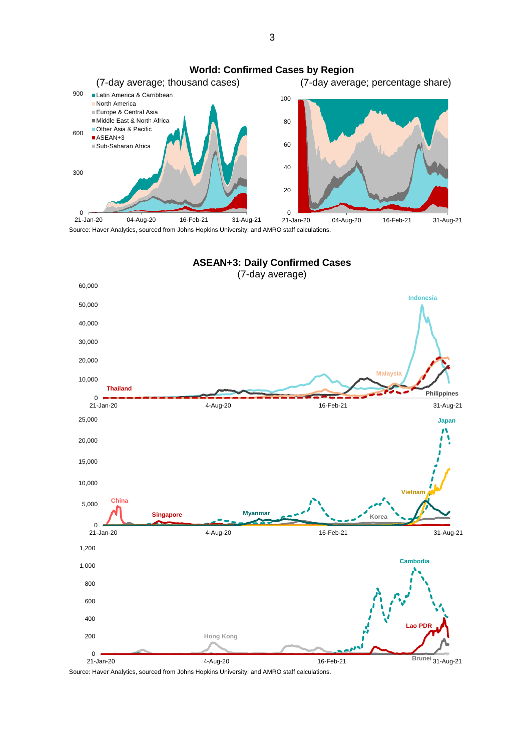

Source: Haver Analytics, sourced from Johns Hopkins University; and AMRO staff calculations.

3